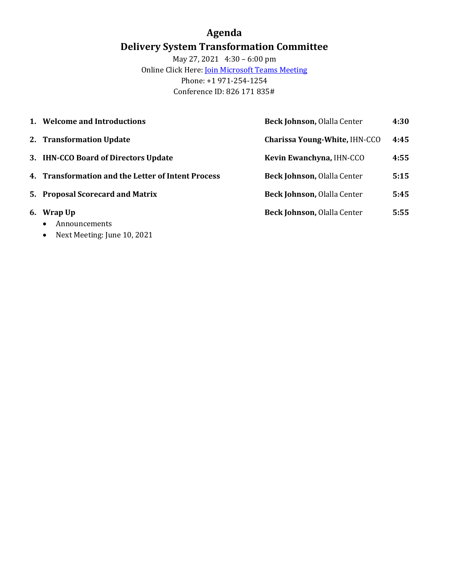### **Agenda Delivery System Transformation Committee**

May 27, 2021 4:30 – 6:00 pm **Online Click Here:** *[Join Microsoft Teams Meeting](https://teams.microsoft.com/l/meetup-join/19%3ameeting_MzljOTZiYjgtYmI4MC00YThhLThkYzQtMGQxMjM3ZWE4NDU3%40thread.v2/0?context=%7b%22Tid%22%3a%228ffc5ea6-dcec-4754-95d8-337958ecb2fc%22%2c%22Oid%22%3a%22a561cadd-8219-424a-92f8-7ba2a46ab139%22%7d)* Phone: +1 971-254-1254 Conference ID: 826 171 835#

|    | 1. Welcome and Introductions                                                      | Beck Johnson, Olalla Center          | 4:30 |
|----|-----------------------------------------------------------------------------------|--------------------------------------|------|
|    | 2. Transformation Update                                                          | <b>Charissa Young-White, IHN-CCO</b> | 4:45 |
|    | 3. IHN-CCO Board of Directors Update                                              | Kevin Ewanchyna, IHN-CCO             | 4:55 |
|    | 4. Transformation and the Letter of Intent Process                                | Beck Johnson, Olalla Center          | 5:15 |
|    | 5. Proposal Scorecard and Matrix                                                  | Beck Johnson, Olalla Center          | 5:45 |
| 6. | Wrap Up<br>Announcements<br>$\bullet$<br>Next Meeting: June 10, 2021<br>$\bullet$ | Beck Johnson, Olalla Center          | 5:55 |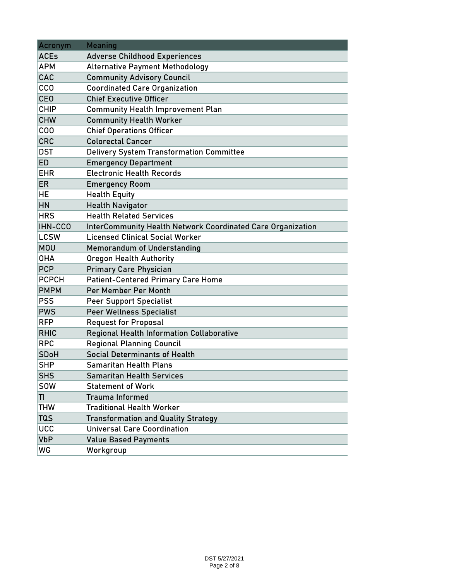| Acronym      | <b>Meaning</b>                                                     |
|--------------|--------------------------------------------------------------------|
| <b>ACEs</b>  | <b>Adverse Childhood Experiences</b>                               |
| <b>APM</b>   | <b>Alternative Payment Methodology</b>                             |
| CAC          | <b>Community Advisory Council</b>                                  |
| <b>CCO</b>   | <b>Coordinated Care Organization</b>                               |
| <b>CEO</b>   | <b>Chief Executive Officer</b>                                     |
| <b>CHIP</b>  | <b>Community Health Improvement Plan</b>                           |
| <b>CHW</b>   | <b>Community Health Worker</b>                                     |
| COO          | <b>Chief Operations Officer</b>                                    |
| <b>CRC</b>   | <b>Colorectal Cancer</b>                                           |
| <b>DST</b>   | <b>Delivery System Transformation Committee</b>                    |
| <b>ED</b>    | <b>Emergency Department</b>                                        |
| <b>EHR</b>   | <b>Electronic Health Records</b>                                   |
| <b>ER</b>    | <b>Emergency Room</b>                                              |
| <b>HE</b>    | <b>Health Equity</b>                                               |
| HN           | <b>Health Navigator</b>                                            |
| <b>HRS</b>   | <b>Health Related Services</b>                                     |
| IHN-CCO      | <b>InterCommunity Health Network Coordinated Care Organization</b> |
| <b>LCSW</b>  | <b>Licensed Clinical Social Worker</b>                             |
| <b>MOU</b>   | <b>Memorandum of Understanding</b>                                 |
| <b>OHA</b>   | <b>Oregon Health Authority</b>                                     |
| <b>PCP</b>   | <b>Primary Care Physician</b>                                      |
| <b>PCPCH</b> | <b>Patient-Centered Primary Care Home</b>                          |
| <b>PMPM</b>  | Per Member Per Month                                               |
| <b>PSS</b>   | <b>Peer Support Specialist</b>                                     |
| <b>PWS</b>   | <b>Peer Wellness Specialist</b>                                    |
| <b>RFP</b>   | <b>Request for Proposal</b>                                        |
| <b>RHIC</b>  | <b>Regional Health Information Collaborative</b>                   |
| <b>RPC</b>   | <b>Regional Planning Council</b>                                   |
| <b>SDoH</b>  | Social Determinants of Health                                      |
| <b>SHP</b>   | <b>Samaritan Health Plans</b>                                      |
| <b>SHS</b>   | <b>Samaritan Health Services</b>                                   |
| <b>SOW</b>   | <b>Statement of Work</b>                                           |
| TI           | <b>Trauma Informed</b>                                             |
| <b>THW</b>   | <b>Traditional Health Worker</b>                                   |
| <b>TQS</b>   | <b>Transformation and Quality Strategy</b>                         |
| <b>UCC</b>   | <b>Universal Care Coordination</b>                                 |
| <b>VbP</b>   | <b>Value Based Payments</b>                                        |
| WG           | Workgroup                                                          |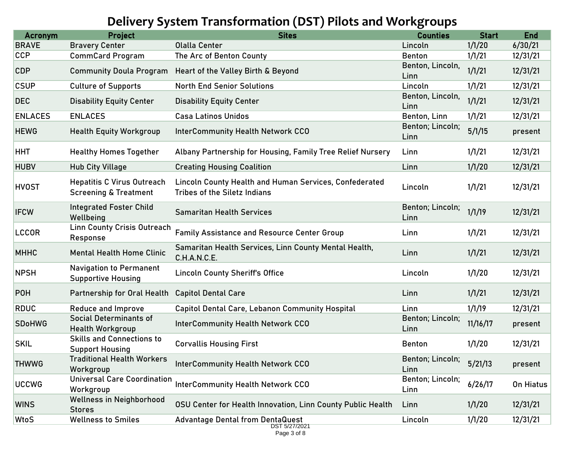# **Delivery System Transformation (DST) Pilots and Workgroups**

| 1/1/20<br>6/30/21<br><b>Bravery Center</b><br><b>Olalla Center</b><br>Lincoln<br>1/1/21<br>12/31/21<br><b>CommCard Program</b><br>The Arc of Benton County<br><b>Benton</b><br>Benton, Lincoln,<br>1/1/21<br>12/31/21<br><b>Community Doula Program</b><br>Heart of the Valley Birth & Beyond<br>Linn<br>1/1/21<br>12/31/21<br><b>Culture of Supports</b><br><b>North End Senior Solutions</b><br>Lincoln<br>Benton, Lincoln,<br>1/1/21<br>12/31/21<br><b>Disability Equity Center</b><br><b>Disability Equity Center</b><br>Linn<br>1/1/21<br>12/31/21<br><b>ENLACES</b><br><b>Casa Latinos Unidos</b><br>Benton, Linn<br>Benton; Lincoln;<br>5/1/15<br><b>InterCommunity Health Network CCO</b><br><b>Health Equity Workgroup</b><br>present<br>Linn<br>1/1/21<br>12/31/21<br><b>Healthy Homes Together</b><br>Albany Partnership for Housing, Family Tree Relief Nursery<br>Linn<br>1/1/20<br>12/31/21<br><b>Hub City Village</b><br><b>Creating Housing Coalition</b><br>Linn<br>Lincoln County Health and Human Services, Confederated<br><b>Hepatitis C Virus Outreach</b><br>1/1/21<br>12/31/21<br>Lincoln<br><b>Screening &amp; Treatment</b><br><b>Tribes of the Siletz Indians</b><br><b>Integrated Foster Child</b><br>Benton; Lincoln;<br>1/1/19<br>12/31/21<br><b>Samaritan Health Services</b><br>Wellbeing<br>Linn<br><b>Linn County Crisis Outreach</b><br>1/1/21<br>12/31/21<br><b>Family Assistance and Resource Center Group</b><br>Linn<br>Response<br>Samaritan Health Services, Linn County Mental Health,<br>1/1/21<br>12/31/21<br><b>Mental Health Home Clinic</b><br>Linn<br>C.H.A.N.C.E.<br><b>Navigation to Permanent</b><br>1/1/20<br>12/31/21<br><b>Lincoln County Sheriff's Office</b><br>Lincoln<br><b>Supportive Housing</b><br>1/1/21<br>12/31/21<br>Linn<br>Partnership for Oral Health<br><b>Capitol Dental Care</b><br>1/1/19<br>12/31/21<br><b>Capitol Dental Care, Lebanon Community Hospital</b><br>Reduce and Improve<br>Linn<br><b>Social Determinants of</b><br>Benton; Lincoln;<br>11/16/17<br><b>InterCommunity Health Network CCO</b><br>present<br><b>Health Workgroup</b><br>Linn<br><b>Skills and Connections to</b><br>1/1/20<br>12/31/21<br><b>Corvallis Housing First</b><br><b>Benton</b><br><b>Support Housing</b><br><b>Traditional Health Workers</b><br>Benton; Lincoln;<br>5/21/13<br><b>InterCommunity Health Network CCO</b><br>present<br>Workgroup<br>Linn<br><b>Universal Care Coordination</b><br>Benton; Lincoln;<br><b>InterCommunity Health Network CCO</b><br>6/26/17<br>On Hiatus<br>Workgroup<br>Linn<br><b>Wellness in Neighborhood</b><br>1/1/20<br>12/31/21<br>OSU Center for Health Innovation, Linn County Public Health<br>Linn<br><b>Stores</b><br>1/1/20<br><b>Wellness to Smiles</b><br>12/31/21<br><b>Advantage Dental from DentaQuest</b><br>Lincoln<br>DST 5/27/2021 | <b>Acronym</b> | <b>Project</b> | <b>Sites</b> | <b>Counties</b> | <b>Start</b> | <b>End</b> |
|-------------------------------------------------------------------------------------------------------------------------------------------------------------------------------------------------------------------------------------------------------------------------------------------------------------------------------------------------------------------------------------------------------------------------------------------------------------------------------------------------------------------------------------------------------------------------------------------------------------------------------------------------------------------------------------------------------------------------------------------------------------------------------------------------------------------------------------------------------------------------------------------------------------------------------------------------------------------------------------------------------------------------------------------------------------------------------------------------------------------------------------------------------------------------------------------------------------------------------------------------------------------------------------------------------------------------------------------------------------------------------------------------------------------------------------------------------------------------------------------------------------------------------------------------------------------------------------------------------------------------------------------------------------------------------------------------------------------------------------------------------------------------------------------------------------------------------------------------------------------------------------------------------------------------------------------------------------------------------------------------------------------------------------------------------------------------------------------------------------------------------------------------------------------------------------------------------------------------------------------------------------------------------------------------------------------------------------------------------------------------------------------------------------------------------------------------------------------------------------------------------------------------------------------------------------------------------------------------------------------------------------------------------------------------------------------------------------------------------------------------------------------------------------------------------------------------------------------------------|----------------|----------------|--------------|-----------------|--------------|------------|
|                                                                                                                                                                                                                                                                                                                                                                                                                                                                                                                                                                                                                                                                                                                                                                                                                                                                                                                                                                                                                                                                                                                                                                                                                                                                                                                                                                                                                                                                                                                                                                                                                                                                                                                                                                                                                                                                                                                                                                                                                                                                                                                                                                                                                                                                                                                                                                                                                                                                                                                                                                                                                                                                                                                                                                                                                                                       | <b>BRAVE</b>   |                |              |                 |              |            |
|                                                                                                                                                                                                                                                                                                                                                                                                                                                                                                                                                                                                                                                                                                                                                                                                                                                                                                                                                                                                                                                                                                                                                                                                                                                                                                                                                                                                                                                                                                                                                                                                                                                                                                                                                                                                                                                                                                                                                                                                                                                                                                                                                                                                                                                                                                                                                                                                                                                                                                                                                                                                                                                                                                                                                                                                                                                       | <b>CCP</b>     |                |              |                 |              |            |
|                                                                                                                                                                                                                                                                                                                                                                                                                                                                                                                                                                                                                                                                                                                                                                                                                                                                                                                                                                                                                                                                                                                                                                                                                                                                                                                                                                                                                                                                                                                                                                                                                                                                                                                                                                                                                                                                                                                                                                                                                                                                                                                                                                                                                                                                                                                                                                                                                                                                                                                                                                                                                                                                                                                                                                                                                                                       | <b>CDP</b>     |                |              |                 |              |            |
|                                                                                                                                                                                                                                                                                                                                                                                                                                                                                                                                                                                                                                                                                                                                                                                                                                                                                                                                                                                                                                                                                                                                                                                                                                                                                                                                                                                                                                                                                                                                                                                                                                                                                                                                                                                                                                                                                                                                                                                                                                                                                                                                                                                                                                                                                                                                                                                                                                                                                                                                                                                                                                                                                                                                                                                                                                                       | <b>CSUP</b>    |                |              |                 |              |            |
|                                                                                                                                                                                                                                                                                                                                                                                                                                                                                                                                                                                                                                                                                                                                                                                                                                                                                                                                                                                                                                                                                                                                                                                                                                                                                                                                                                                                                                                                                                                                                                                                                                                                                                                                                                                                                                                                                                                                                                                                                                                                                                                                                                                                                                                                                                                                                                                                                                                                                                                                                                                                                                                                                                                                                                                                                                                       | <b>DEC</b>     |                |              |                 |              |            |
|                                                                                                                                                                                                                                                                                                                                                                                                                                                                                                                                                                                                                                                                                                                                                                                                                                                                                                                                                                                                                                                                                                                                                                                                                                                                                                                                                                                                                                                                                                                                                                                                                                                                                                                                                                                                                                                                                                                                                                                                                                                                                                                                                                                                                                                                                                                                                                                                                                                                                                                                                                                                                                                                                                                                                                                                                                                       | <b>ENLACES</b> |                |              |                 |              |            |
|                                                                                                                                                                                                                                                                                                                                                                                                                                                                                                                                                                                                                                                                                                                                                                                                                                                                                                                                                                                                                                                                                                                                                                                                                                                                                                                                                                                                                                                                                                                                                                                                                                                                                                                                                                                                                                                                                                                                                                                                                                                                                                                                                                                                                                                                                                                                                                                                                                                                                                                                                                                                                                                                                                                                                                                                                                                       | <b>HEWG</b>    |                |              |                 |              |            |
|                                                                                                                                                                                                                                                                                                                                                                                                                                                                                                                                                                                                                                                                                                                                                                                                                                                                                                                                                                                                                                                                                                                                                                                                                                                                                                                                                                                                                                                                                                                                                                                                                                                                                                                                                                                                                                                                                                                                                                                                                                                                                                                                                                                                                                                                                                                                                                                                                                                                                                                                                                                                                                                                                                                                                                                                                                                       | <b>HHT</b>     |                |              |                 |              |            |
|                                                                                                                                                                                                                                                                                                                                                                                                                                                                                                                                                                                                                                                                                                                                                                                                                                                                                                                                                                                                                                                                                                                                                                                                                                                                                                                                                                                                                                                                                                                                                                                                                                                                                                                                                                                                                                                                                                                                                                                                                                                                                                                                                                                                                                                                                                                                                                                                                                                                                                                                                                                                                                                                                                                                                                                                                                                       | <b>HUBV</b>    |                |              |                 |              |            |
|                                                                                                                                                                                                                                                                                                                                                                                                                                                                                                                                                                                                                                                                                                                                                                                                                                                                                                                                                                                                                                                                                                                                                                                                                                                                                                                                                                                                                                                                                                                                                                                                                                                                                                                                                                                                                                                                                                                                                                                                                                                                                                                                                                                                                                                                                                                                                                                                                                                                                                                                                                                                                                                                                                                                                                                                                                                       | <b>HVOST</b>   |                |              |                 |              |            |
|                                                                                                                                                                                                                                                                                                                                                                                                                                                                                                                                                                                                                                                                                                                                                                                                                                                                                                                                                                                                                                                                                                                                                                                                                                                                                                                                                                                                                                                                                                                                                                                                                                                                                                                                                                                                                                                                                                                                                                                                                                                                                                                                                                                                                                                                                                                                                                                                                                                                                                                                                                                                                                                                                                                                                                                                                                                       | <b>IFCW</b>    |                |              |                 |              |            |
|                                                                                                                                                                                                                                                                                                                                                                                                                                                                                                                                                                                                                                                                                                                                                                                                                                                                                                                                                                                                                                                                                                                                                                                                                                                                                                                                                                                                                                                                                                                                                                                                                                                                                                                                                                                                                                                                                                                                                                                                                                                                                                                                                                                                                                                                                                                                                                                                                                                                                                                                                                                                                                                                                                                                                                                                                                                       | <b>LCCOR</b>   |                |              |                 |              |            |
|                                                                                                                                                                                                                                                                                                                                                                                                                                                                                                                                                                                                                                                                                                                                                                                                                                                                                                                                                                                                                                                                                                                                                                                                                                                                                                                                                                                                                                                                                                                                                                                                                                                                                                                                                                                                                                                                                                                                                                                                                                                                                                                                                                                                                                                                                                                                                                                                                                                                                                                                                                                                                                                                                                                                                                                                                                                       | <b>MHHC</b>    |                |              |                 |              |            |
|                                                                                                                                                                                                                                                                                                                                                                                                                                                                                                                                                                                                                                                                                                                                                                                                                                                                                                                                                                                                                                                                                                                                                                                                                                                                                                                                                                                                                                                                                                                                                                                                                                                                                                                                                                                                                                                                                                                                                                                                                                                                                                                                                                                                                                                                                                                                                                                                                                                                                                                                                                                                                                                                                                                                                                                                                                                       | <b>NPSH</b>    |                |              |                 |              |            |
|                                                                                                                                                                                                                                                                                                                                                                                                                                                                                                                                                                                                                                                                                                                                                                                                                                                                                                                                                                                                                                                                                                                                                                                                                                                                                                                                                                                                                                                                                                                                                                                                                                                                                                                                                                                                                                                                                                                                                                                                                                                                                                                                                                                                                                                                                                                                                                                                                                                                                                                                                                                                                                                                                                                                                                                                                                                       | <b>POH</b>     |                |              |                 |              |            |
|                                                                                                                                                                                                                                                                                                                                                                                                                                                                                                                                                                                                                                                                                                                                                                                                                                                                                                                                                                                                                                                                                                                                                                                                                                                                                                                                                                                                                                                                                                                                                                                                                                                                                                                                                                                                                                                                                                                                                                                                                                                                                                                                                                                                                                                                                                                                                                                                                                                                                                                                                                                                                                                                                                                                                                                                                                                       | <b>RDUC</b>    |                |              |                 |              |            |
|                                                                                                                                                                                                                                                                                                                                                                                                                                                                                                                                                                                                                                                                                                                                                                                                                                                                                                                                                                                                                                                                                                                                                                                                                                                                                                                                                                                                                                                                                                                                                                                                                                                                                                                                                                                                                                                                                                                                                                                                                                                                                                                                                                                                                                                                                                                                                                                                                                                                                                                                                                                                                                                                                                                                                                                                                                                       | <b>SDoHWG</b>  |                |              |                 |              |            |
|                                                                                                                                                                                                                                                                                                                                                                                                                                                                                                                                                                                                                                                                                                                                                                                                                                                                                                                                                                                                                                                                                                                                                                                                                                                                                                                                                                                                                                                                                                                                                                                                                                                                                                                                                                                                                                                                                                                                                                                                                                                                                                                                                                                                                                                                                                                                                                                                                                                                                                                                                                                                                                                                                                                                                                                                                                                       | <b>SKIL</b>    |                |              |                 |              |            |
|                                                                                                                                                                                                                                                                                                                                                                                                                                                                                                                                                                                                                                                                                                                                                                                                                                                                                                                                                                                                                                                                                                                                                                                                                                                                                                                                                                                                                                                                                                                                                                                                                                                                                                                                                                                                                                                                                                                                                                                                                                                                                                                                                                                                                                                                                                                                                                                                                                                                                                                                                                                                                                                                                                                                                                                                                                                       | <b>THWWG</b>   |                |              |                 |              |            |
|                                                                                                                                                                                                                                                                                                                                                                                                                                                                                                                                                                                                                                                                                                                                                                                                                                                                                                                                                                                                                                                                                                                                                                                                                                                                                                                                                                                                                                                                                                                                                                                                                                                                                                                                                                                                                                                                                                                                                                                                                                                                                                                                                                                                                                                                                                                                                                                                                                                                                                                                                                                                                                                                                                                                                                                                                                                       | <b>UCCWG</b>   |                |              |                 |              |            |
|                                                                                                                                                                                                                                                                                                                                                                                                                                                                                                                                                                                                                                                                                                                                                                                                                                                                                                                                                                                                                                                                                                                                                                                                                                                                                                                                                                                                                                                                                                                                                                                                                                                                                                                                                                                                                                                                                                                                                                                                                                                                                                                                                                                                                                                                                                                                                                                                                                                                                                                                                                                                                                                                                                                                                                                                                                                       | <b>WINS</b>    |                |              |                 |              |            |
|                                                                                                                                                                                                                                                                                                                                                                                                                                                                                                                                                                                                                                                                                                                                                                                                                                                                                                                                                                                                                                                                                                                                                                                                                                                                                                                                                                                                                                                                                                                                                                                                                                                                                                                                                                                                                                                                                                                                                                                                                                                                                                                                                                                                                                                                                                                                                                                                                                                                                                                                                                                                                                                                                                                                                                                                                                                       | WtoS           |                |              |                 |              |            |

Page 3 of 8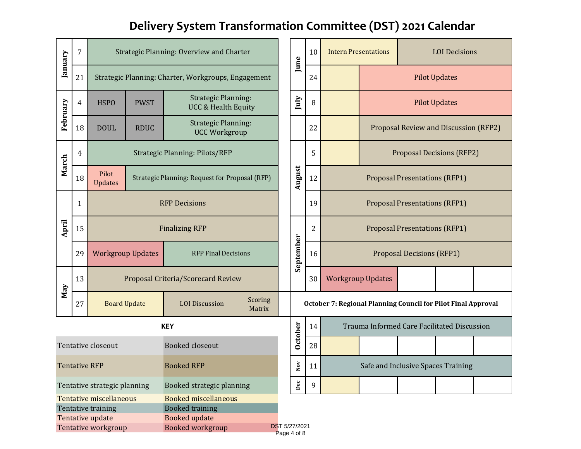# **Delivery System Transformation Committee (DST) 2021 Calendar**

| January                                                         | 7  |                                                     |                          | Strategic Planning: Overview and Charter                     |                   |              | June                                                          | 10                                 | <b>Intern Presentations</b>      |                                             |                                       | <b>LOI</b> Decisions             |  |
|-----------------------------------------------------------------|----|-----------------------------------------------------|--------------------------|--------------------------------------------------------------|-------------------|--------------|---------------------------------------------------------------|------------------------------------|----------------------------------|---------------------------------------------|---------------------------------------|----------------------------------|--|
|                                                                 | 21 | Strategic Planning: Charter, Workgroups, Engagement |                          |                                                              |                   |              |                                                               | 24                                 |                                  |                                             | <b>Pilot Updates</b>                  |                                  |  |
| February                                                        | 4  | <b>HSPO</b>                                         | <b>PWST</b>              | <b>Strategic Planning:</b><br><b>UCC &amp; Health Equity</b> |                   |              | July                                                          | 8                                  |                                  | <b>Pilot Updates</b>                        |                                       |                                  |  |
|                                                                 | 18 | <b>DOUL</b>                                         | <b>RDUC</b>              | <b>Strategic Planning:</b><br><b>UCC Workgroup</b>           |                   |              |                                                               | 22                                 |                                  |                                             | Proposal Review and Discussion (RFP2) |                                  |  |
| March                                                           | 4  |                                                     |                          | <b>Strategic Planning: Pilots/RFP</b>                        |                   |              |                                                               | 5                                  |                                  |                                             |                                       | <b>Proposal Decisions (RFP2)</b> |  |
|                                                                 | 18 | Pilot<br><b>Updates</b>                             |                          | Strategic Planning: Request for Proposal (RFP)               |                   |              | August                                                        | 12                                 |                                  |                                             | <b>Proposal Presentations (RFP1)</b>  |                                  |  |
|                                                                 | 1  |                                                     | <b>RFP Decisions</b>     |                                                              |                   |              |                                                               | 19                                 |                                  |                                             | <b>Proposal Presentations (RFP1)</b>  |                                  |  |
| April                                                           | 15 | <b>Finalizing RFP</b>                               |                          |                                                              |                   |              |                                                               | 2                                  |                                  | <b>Proposal Presentations (RFP1)</b>        |                                       |                                  |  |
|                                                                 | 29 |                                                     | <b>Workgroup Updates</b> | <b>RFP Final Decisions</b>                                   |                   |              | September                                                     | 16                                 | <b>Proposal Decisions (RFP1)</b> |                                             |                                       |                                  |  |
| May                                                             | 13 |                                                     |                          | Proposal Criteria/Scorecard Review                           |                   |              |                                                               | 30                                 |                                  | <b>Workgroup Updates</b>                    |                                       |                                  |  |
|                                                                 | 27 |                                                     | <b>Board Update</b>      | <b>LOI</b> Discussion                                        | Scoring<br>Matrix |              | October 7: Regional Planning Council for Pilot Final Approval |                                    |                                  |                                             |                                       |                                  |  |
|                                                                 |    |                                                     |                          | <b>KEY</b>                                                   |                   |              | <b>October</b>                                                | 14                                 |                                  | Trauma Informed Care Facilitated Discussion |                                       |                                  |  |
|                                                                 |    | Tentative closeout                                  |                          | <b>Booked closeout</b>                                       |                   |              |                                                               | 28                                 |                                  |                                             |                                       |                                  |  |
| <b>Booked RFP</b><br><b>Tentative RFP</b>                       |    |                                                     |                          |                                                              | $_{\rm Nov}$      | 11           |                                                               | Safe and Inclusive Spaces Training |                                  |                                             |                                       |                                  |  |
| Booked strategic planning<br>Tentative strategic planning       |    |                                                     |                          |                                                              |                   | $_{\rm Dec}$ | 9                                                             |                                    |                                  |                                             |                                       |                                  |  |
| Tentative miscellaneous<br><b>Booked miscellaneous</b>          |    |                                                     |                          |                                                              |                   |              |                                                               |                                    |                                  |                                             |                                       |                                  |  |
|                                                                 |    | Tentative training                                  |                          | <b>Booked training</b>                                       |                   |              |                                                               |                                    |                                  |                                             |                                       |                                  |  |
|                                                                 |    | Tentative update                                    |                          | Booked update                                                |                   |              |                                                               |                                    |                                  |                                             |                                       |                                  |  |
| <b>DST 5/27/2021</b><br>Tentative workgroup<br>Booked workgroup |    |                                                     |                          |                                                              |                   |              | Page 4 of 8                                                   |                                    |                                  |                                             |                                       |                                  |  |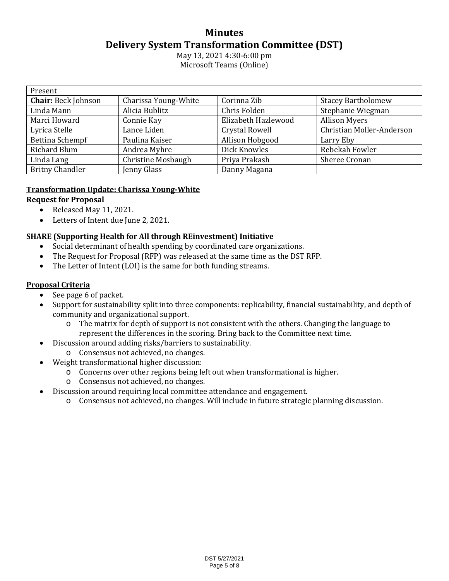#### **Minutes Delivery System Transformation Committee (DST)**

May 13, 2021 4:30-6:00 pm Microsoft Teams (Online)

| Present                    |                      |                       |                           |  |  |  |  |
|----------------------------|----------------------|-----------------------|---------------------------|--|--|--|--|
| <b>Chair: Beck Johnson</b> | Charissa Young-White | Corinna Zib           | <b>Stacey Bartholomew</b> |  |  |  |  |
| Linda Mann                 | Alicia Bublitz       | Chris Folden          | Stephanie Wiegman         |  |  |  |  |
| Marci Howard               | Connie Kay           | Elizabeth Hazlewood   | <b>Allison Myers</b>      |  |  |  |  |
| Lyrica Stelle              | Lance Liden          | <b>Crystal Rowell</b> | Christian Moller-Anderson |  |  |  |  |
| Bettina Schempf            | Paulina Kaiser       | Allison Hobgood       | Larry Eby                 |  |  |  |  |
| <b>Richard Blum</b>        | Andrea Myhre         | Dick Knowles          | Rebekah Fowler            |  |  |  |  |
| Linda Lang                 | Christine Mosbaugh   | Priya Prakash         | Sheree Cronan             |  |  |  |  |
| <b>Britny Chandler</b>     | Jenny Glass          | Danny Magana          |                           |  |  |  |  |

#### **Transformation Update: Charissa Young-White**

#### **Request for Proposal**

- Released May 11, 2021.
- Letters of Intent due June 2, 2021.

#### **SHARE (Supporting Health for All through REinvestment) Initiative**

- Social determinant of health spending by coordinated care organizations.
- The Request for Proposal (RFP) was released at the same time as the DST RFP.
- The Letter of Intent (LOI) is the same for both funding streams.

#### **Proposal Criteria**

- See page 6 of packet.
- Support for sustainability split into three components: replicability, financial sustainability, and depth of community and organizational support.
	- o The matrix for depth of support is not consistent with the others. Changing the language to represent the differences in the scoring. Bring back to the Committee next time.
- Discussion around adding risks/barriers to sustainability.
	- o Consensus not achieved, no changes.
- Weight transformational higher discussion:
	- o Concerns over other regions being left out when transformational is higher.
	- o Consensus not achieved, no changes.
- Discussion around requiring local committee attendance and engagement.
	- o Consensus not achieved, no changes. Will include in future strategic planning discussion.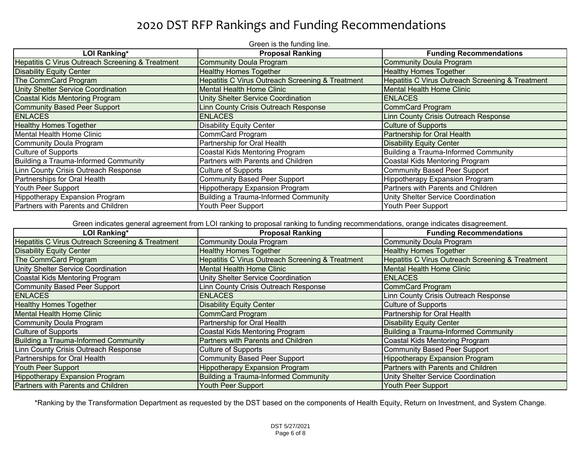## 2020 DST RFP Rankings and Funding Recommendations

| Green is the funding line.                       |                                                  |                                                  |  |  |  |  |  |
|--------------------------------------------------|--------------------------------------------------|--------------------------------------------------|--|--|--|--|--|
| <b>LOI Ranking*</b>                              | <b>Proposal Ranking</b>                          | <b>Funding Recommendations</b>                   |  |  |  |  |  |
| Hepatitis C Virus Outreach Screening & Treatment | <b>Community Doula Program</b>                   | Community Doula Program                          |  |  |  |  |  |
| <b>Disability Equity Center</b>                  | <b>Healthy Homes Together</b>                    | <b>Healthy Homes Together</b>                    |  |  |  |  |  |
| The CommCard Program                             | Hepatitis C Virus Outreach Screening & Treatment | Hepatitis C Virus Outreach Screening & Treatment |  |  |  |  |  |
| <b>Unity Shelter Service Coordination</b>        | <b>Mental Health Home Clinic</b>                 | Mental Health Home Clinic                        |  |  |  |  |  |
| Coastal Kids Mentoring Program                   | <b>Unity Shelter Service Coordination</b>        | <b>ENLACES</b>                                   |  |  |  |  |  |
| Community Based Peer Support                     | Linn County Crisis Outreach Response             | CommCard Program                                 |  |  |  |  |  |
| <b>ENLACES</b>                                   | <b>ENLACES</b>                                   | Linn County Crisis Outreach Response             |  |  |  |  |  |
| <b>Healthy Homes Together</b>                    | <b>Disability Equity Center</b>                  | <b>Culture of Supports</b>                       |  |  |  |  |  |
| Mental Health Home Clinic                        | <b>CommCard Program</b>                          | Partnership for Oral Health                      |  |  |  |  |  |
| Community Doula Program                          | Partnership for Oral Health                      | <b>Disability Equity Center</b>                  |  |  |  |  |  |
| Culture of Supports                              | Coastal Kids Mentoring Program                   | Building a Trauma-Informed Community             |  |  |  |  |  |
| Building a Trauma-Informed Community             | Partners with Parents and Children               | Coastal Kids Mentoring Program                   |  |  |  |  |  |
| Linn County Crisis Outreach Response             | <b>Culture of Supports</b>                       | <b>Community Based Peer Support</b>              |  |  |  |  |  |
| Partnerships for Oral Health                     | <b>Community Based Peer Support</b>              | Hippotherapy Expansion Program                   |  |  |  |  |  |
| Youth Peer Support                               | <b>Hippotherapy Expansion Program</b>            | Partners with Parents and Children               |  |  |  |  |  |
| Hippotherapy Expansion Program                   | Building a Trauma-Informed Community             | Unity Shelter Service Coordination               |  |  |  |  |  |
| Partners with Parents and Children               | Youth Peer Support                               | Youth Peer Support                               |  |  |  |  |  |

Green indicates general agreement from LOI ranking to proposal ranking to funding recommendations, orange indicates disagreement.

| <b>LOI Ranking*</b>                                         | <b>Proposal Ranking</b>                          | <b>Funding Recommendations</b>                   |
|-------------------------------------------------------------|--------------------------------------------------|--------------------------------------------------|
| <b>Hepatitis C Virus Outreach Screening &amp; Treatment</b> | <b>Community Doula Program</b>                   | Community Doula Program                          |
| <b>Disability Equity Center</b>                             | <b>Healthy Homes Together</b>                    | <b>Healthy Homes Together</b>                    |
| The CommCard Program                                        | Hepatitis C Virus Outreach Screening & Treatment | Hepatitis C Virus Outreach Screening & Treatment |
| Unity Shelter Service Coordination                          | <b>Mental Health Home Clinic</b>                 | Mental Health Home Clinic                        |
| Coastal Kids Mentoring Program                              | Unity Shelter Service Coordination               | <b>ENLACES</b>                                   |
| Community Based Peer Support                                | Linn County Crisis Outreach Response             | CommCard Program                                 |
| <b>ENLACES</b>                                              | <b>ENLACES</b>                                   | Linn County Crisis Outreach Response             |
| <b>Healthy Homes Together</b>                               | <b>Disability Equity Center</b>                  | Culture of Supports                              |
| <b>Mental Health Home Clinic</b>                            | <b>CommCard Program</b>                          | Partnership for Oral Health                      |
| <b>Community Doula Program</b>                              | Partnership for Oral Health                      | <b>Disability Equity Center</b>                  |
| <b>Culture of Supports</b>                                  | Coastal Kids Mentoring Program                   | Building a Trauma-Informed Community             |
| <b>Building a Trauma-Informed Community</b>                 | Partners with Parents and Children               | Coastal Kids Mentoring Program                   |
| Linn County Crisis Outreach Response                        | Culture of Supports                              | Community Based Peer Support                     |
| Partnerships for Oral Health                                | Community Based Peer Support                     | <b>Hippotherapy Expansion Program</b>            |
| Youth Peer Support                                          | <b>Hippotherapy Expansion Program</b>            | Partners with Parents and Children               |
| <b>Hippotherapy Expansion Program</b>                       | <b>Building a Trauma-Informed Community</b>      | Unity Shelter Service Coordination               |
| Partners with Parents and Children                          | Youth Peer Support                               | Youth Peer Support                               |

\*Ranking by the Transformation Department as requested by the DST based on the components of Health Equity, Return on Investment, and System Change.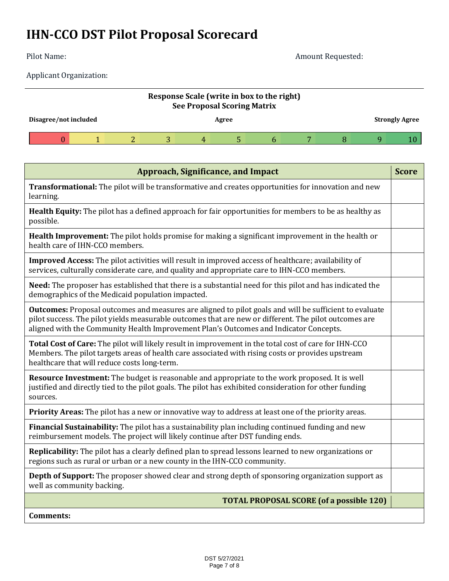# **IHN-CCO DST Pilot Proposal Scorecard**

Pilot Name: Amount Requested:

Applicant Organization:

| Response Scale (write in box to the right)<br><b>See Proposal Scoring Matrix</b> |  |  |  |       |  |  |  |                       |  |
|----------------------------------------------------------------------------------|--|--|--|-------|--|--|--|-----------------------|--|
| Disagree/not included                                                            |  |  |  | Agree |  |  |  | <b>Strongly Agree</b> |  |
|                                                                                  |  |  |  | 4     |  |  |  |                       |  |

| <b>Approach, Significance, and Impact</b>                                                                                                                                                                                                                                                                       | <b>Score</b> |
|-----------------------------------------------------------------------------------------------------------------------------------------------------------------------------------------------------------------------------------------------------------------------------------------------------------------|--------------|
| <b>Transformational:</b> The pilot will be transformative and creates opportunities for innovation and new<br>learning.                                                                                                                                                                                         |              |
| <b>Health Equity:</b> The pilot has a defined approach for fair opportunities for members to be as healthy as<br>possible.                                                                                                                                                                                      |              |
| Health Improvement: The pilot holds promise for making a significant improvement in the health or<br>health care of IHN-CCO members.                                                                                                                                                                            |              |
| Improved Access: The pilot activities will result in improved access of healthcare; availability of<br>services, culturally considerate care, and quality and appropriate care to IHN-CCO members.                                                                                                              |              |
| Need: The proposer has established that there is a substantial need for this pilot and has indicated the<br>demographics of the Medicaid population impacted.                                                                                                                                                   |              |
| <b>Outcomes:</b> Proposal outcomes and measures are aligned to pilot goals and will be sufficient to evaluate<br>pilot success. The pilot yields measurable outcomes that are new or different. The pilot outcomes are<br>aligned with the Community Health Improvement Plan's Outcomes and Indicator Concepts. |              |
| Total Cost of Care: The pilot will likely result in improvement in the total cost of care for IHN-CCO<br>Members. The pilot targets areas of health care associated with rising costs or provides upstream<br>healthcare that will reduce costs long-term.                                                      |              |
| Resource Investment: The budget is reasonable and appropriate to the work proposed. It is well<br>justified and directly tied to the pilot goals. The pilot has exhibited consideration for other funding<br>sources.                                                                                           |              |
| Priority Areas: The pilot has a new or innovative way to address at least one of the priority areas.                                                                                                                                                                                                            |              |
| Financial Sustainability: The pilot has a sustainability plan including continued funding and new<br>reimbursement models. The project will likely continue after DST funding ends.                                                                                                                             |              |
| Replicability: The pilot has a clearly defined plan to spread lessons learned to new organizations or<br>regions such as rural or urban or a new county in the IHN-CCO community.                                                                                                                               |              |
| <b>Depth of Support:</b> The proposer showed clear and strong depth of sponsoring organization support as<br>well as community backing.                                                                                                                                                                         |              |
| <b>TOTAL PROPOSAL SCORE (of a possible 120)</b>                                                                                                                                                                                                                                                                 |              |
| <b>Comments:</b>                                                                                                                                                                                                                                                                                                |              |